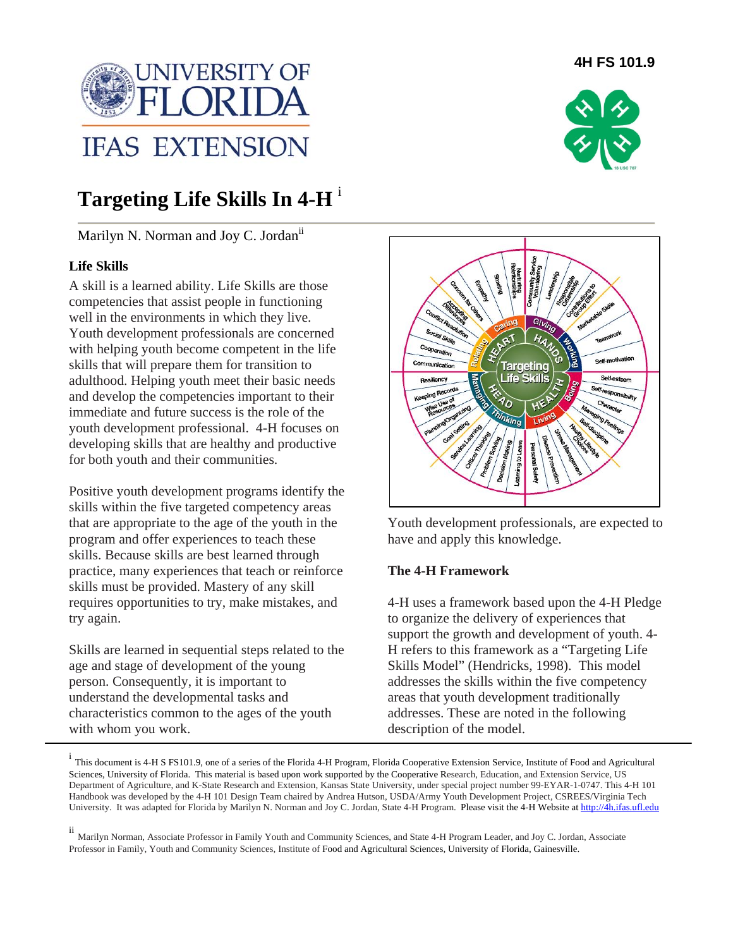

# **Targeting Life Skills In 4-H** <sup>i</sup>

Marilyn N. Norman and Joy C. Jordanii

# **Life Skills**

A skill is a learned ability. Life Skills are those competencies that assist people in functioning well in the environments in which they live. Youth development professionals are concerned with helping youth become competent in the life skills that will prepare them for transition to adulthood. Helping youth meet their basic needs and develop the competencies important to their immediate and future success is the role of the youth development professional. 4-H focuses on developing skills that are healthy and productive for both youth and their communities.

Positive youth development programs identify the skills within the five targeted competency areas that are appropriate to the age of the youth in the program and offer experiences to teach these skills. Because skills are best learned through practice, many experiences that teach or reinforce skills must be provided. Mastery of any skill requires opportunities to try, make mistakes, and try again.

Skills are learned in sequential steps related to the age and stage of development of the young person. Consequently, it is important to understand the developmental tasks and characteristics common to the ages of the youth with whom you work.





Youth development professionals, are expected to have and apply this knowledge.

#### **The 4-H Framework**

4-H uses a framework based upon the 4-H Pledge to organize the delivery of experiences that support the growth and development of youth. 4- H refers to this framework as a "Targeting Life Skills Model" (Hendricks, 1998). This model addresses the skills within the five competency areas that youth development traditionally addresses. These are noted in the following description of the model.

i This document is 4-H S FS101.9, one of a series of the Florida 4-H Program, Florida Cooperative Extension Service, Institute of Food and Agricultural Sciences, University of Florida. This material is based upon work supported by the Cooperative Research, Education, and Extension Service, US Department of Agriculture, and K-State Research and Extension, Kansas State University, under special project number 99-EYAR-1-0747. This 4-H 101 Handbook was developed by the 4-H 101 Design Team chaired by Andrea Hutson, USDA/Army Youth Development Project, CSREES/Virginia Tech University. It was adapted for Florida by Marilyn N. Norman and Joy C. Jordan, State 4-H Program. Please visit the 4-H Website at http://4h.ifas.ufl.edu

ii Marilyn Norman, Associate Professor in Family Youth and Community Sciences, and State 4-H Program Leader, and Joy C. Jordan, Associate Professor in Family, Youth and Community Sciences, Institute of Food and Agricultural Sciences, University of Florida, Gainesville.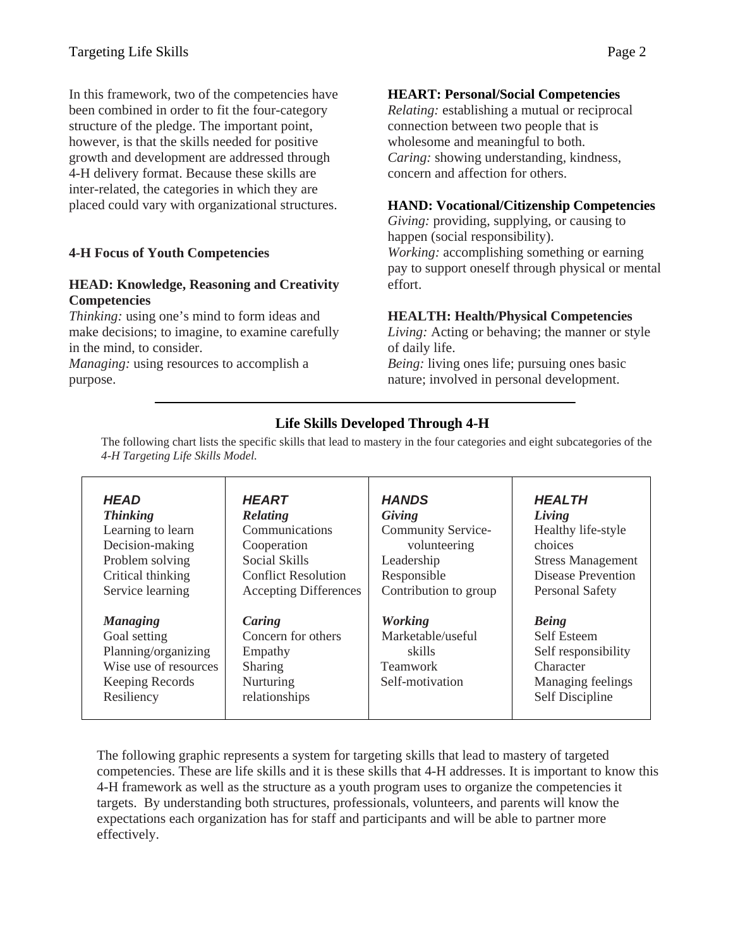In this framework, two of the competencies have been combined in order to fit the four-category structure of the pledge. The important point, however, is that the skills needed for positive growth and development are addressed through 4-H delivery format. Because these skills are inter-related, the categories in which they are placed could vary with organizational structures.

# **4-H Focus of Youth Competencies**

## **HEAD: Knowledge, Reasoning and Creativity Competencies**

*Thinking:* using one's mind to form ideas and make decisions; to imagine, to examine carefully in the mind, to consider.

*Managing:* using resources to accomplish a purpose.

## **HEART: Personal/Social Competencies**

*Relating:* establishing a mutual or reciprocal connection between two people that is wholesome and meaningful to both. *Caring:* showing understanding, kindness, concern and affection for others.

#### **HAND: Vocational/Citizenship Competencies**

*Giving:* providing, supplying, or causing to happen (social responsibility). *Working:* accomplishing something or earning pay to support oneself through physical or mental

#### **HEALTH: Health/Physical Competencies**

*Living:* Acting or behaving; the manner or style of daily life.

*Being:* living ones life; pursuing ones basic nature; involved in personal development.

# **Life Skills Developed Through 4-H**

effort.

The following chart lists the specific skills that lead to mastery in the four categories and eight subcategories of the *4-H Targeting Life Skills Model.* 

| <b>HEAD</b>                                                                                                      | <b>HEART</b>                                                                     | <b>HANDS</b>                                                                        | <b>HEALTH</b>                                                                                           |
|------------------------------------------------------------------------------------------------------------------|----------------------------------------------------------------------------------|-------------------------------------------------------------------------------------|---------------------------------------------------------------------------------------------------------|
| <b>Thinking</b>                                                                                                  | Relating                                                                         | Giving                                                                              | Living                                                                                                  |
| Learning to learn                                                                                                | Communications                                                                   | <b>Community Service-</b>                                                           | Healthy life-style                                                                                      |
| Decision-making                                                                                                  | Cooperation                                                                      | volunteering                                                                        | choices                                                                                                 |
| Problem solving                                                                                                  | Social Skills                                                                    | Leadership                                                                          | <b>Stress Management</b>                                                                                |
| Critical thinking                                                                                                | <b>Conflict Resolution</b>                                                       | Responsible                                                                         | Disease Prevention                                                                                      |
| Service learning                                                                                                 | <b>Accepting Differences</b>                                                     | Contribution to group                                                               | <b>Personal Safety</b>                                                                                  |
| <b>Managing</b><br>Goal setting<br>Planning/organizing<br>Wise use of resources<br>Keeping Records<br>Resiliency | Caring<br>Concern for others<br>Empathy<br>Sharing<br>Nurturing<br>relationships | <b>Working</b><br>Marketable/useful<br>skills<br><b>Teamwork</b><br>Self-motivation | <b>Being</b><br>Self Esteem<br>Self responsibility<br>Character<br>Managing feelings<br>Self Discipline |

The following graphic represents a system for targeting skills that lead to mastery of targeted competencies. These are life skills and it is these skills that 4-H addresses. It is important to know this 4-H framework as well as the structure as a youth program uses to organize the competencies it targets. By understanding both structures, professionals, volunteers, and parents will know the expectations each organization has for staff and participants and will be able to partner more effectively.